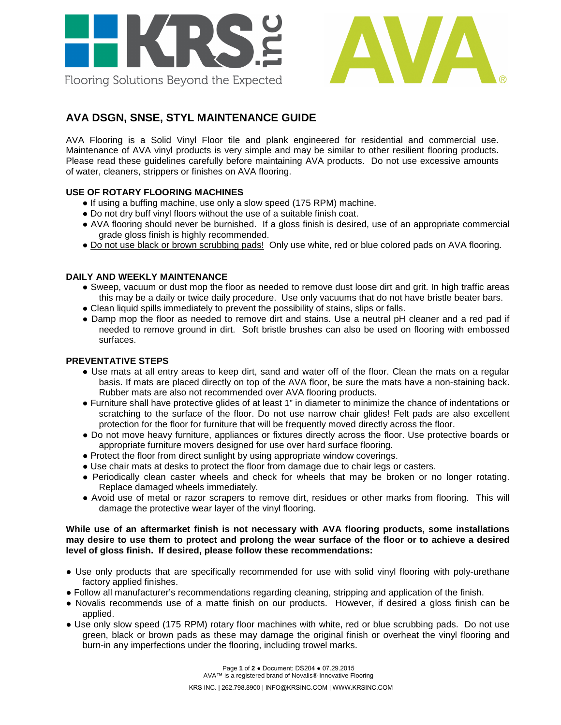



# **AVA DSGN, SNSE, STYL MAINTENANCE GUIDE**

AVA Flooring is a Solid Vinyl Floor tile and plank engineered for residential and commercial use. Maintenance of AVA vinyl products is very simple and may be similar to other resilient flooring products. Please read these guidelines carefully before maintaining AVA products. Do not use excessive amounts of water, cleaners, strippers or finishes on AVA flooring.

## **USE OF ROTARY FLOORING MACHINES**

- If using a buffing machine, use only a slow speed (175 RPM) machine.
- Do not dry buff vinyl floors without the use of a suitable finish coat.
- AVA flooring should never be burnished. If a gloss finish is desired, use of an appropriate commercial grade gloss finish is highly recommended.
- Do not use black or brown scrubbing pads! Only use white, red or blue colored pads on AVA flooring.

## **DAILY AND WEEKLY MAINTENANCE**

- Sweep, vacuum or dust mop the floor as needed to remove dust loose dirt and grit. In high traffic areas this may be a daily or twice daily procedure. Use only vacuums that do not have bristle beater bars.
- Clean liquid spills immediately to prevent the possibility of stains, slips or falls.
- Damp mop the floor as needed to remove dirt and stains. Use a neutral pH cleaner and a red pad if needed to remove ground in dirt. Soft bristle brushes can also be used on flooring with embossed surfaces.

#### **PREVENTATIVE STEPS**

- Use mats at all entry areas to keep dirt, sand and water off of the floor. Clean the mats on a regular basis. If mats are placed directly on top of the AVA floor, be sure the mats have a non-staining back. Rubber mats are also not recommended over AVA flooring products.
- Furniture shall have protective glides of at least 1" in diameter to minimize the chance of indentations or scratching to the surface of the floor. Do not use narrow chair glides! Felt pads are also excellent protection for the floor for furniture that will be frequently moved directly across the floor.
- Do not move heavy furniture, appliances or fixtures directly across the floor. Use protective boards or appropriate furniture movers designed for use over hard surface flooring.
- Protect the floor from direct sunlight by using appropriate window coverings.
- Use chair mats at desks to protect the floor from damage due to chair legs or casters.
- Periodically clean caster wheels and check for wheels that may be broken or no longer rotating. Replace damaged wheels immediately.
- Avoid use of metal or razor scrapers to remove dirt, residues or other marks from flooring. This will damage the protective wear layer of the vinyl flooring.

#### **While use of an aftermarket finish is not necessary with AVA flooring products, some installations may desire to use them to protect and prolong the wear surface of the floor or to achieve a desired level of gloss finish. If desired, please follow these recommendations:**

- Use only products that are specifically recommended for use with solid vinyl flooring with poly-urethane factory applied finishes.
- Follow all manufacturer's recommendations regarding cleaning, stripping and application of the finish.
- Novalis recommends use of a matte finish on our products. However, if desired a gloss finish can be applied.
- Use only slow speed (175 RPM) rotary floor machines with white, red or blue scrubbing pads. Do not use green, black or brown pads as these may damage the original finish or overheat the vinyl flooring and burn-in any imperfections under the flooring, including trowel marks.